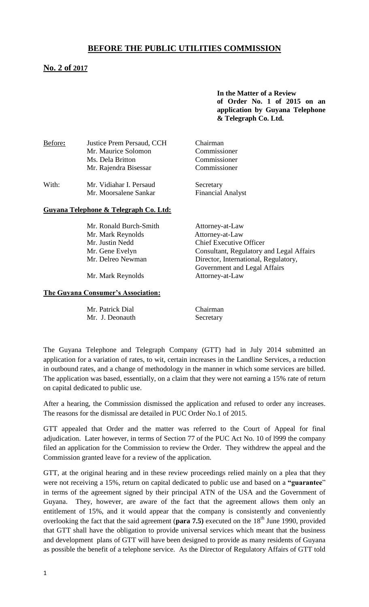# **BEFORE THE PUBLIC UTILITIES COMMISSION**

## **No. 2 of 2017**

**In the Matter of a Review of Order No. 1 of 2015 on an application by Guyana Telephone & Telegraph Co. Ltd.**

| Before: | Justice Prem Persaud, CCH<br>Mr. Maurice Solomon<br>Ms. Dela Britton<br>Mr. Rajendra Bisessar | Chairman<br>Commissioner<br>Commissioner<br>Commissioner |  |
|---------|-----------------------------------------------------------------------------------------------|----------------------------------------------------------|--|
| With:   | Mr. Vidiahar I. Persaud                                                                       | Secretary                                                |  |

Mr. Moorsalene Sankar Financial Analyst

#### **Guyana Telephone & Telegraph Co. Ltd:**

| Mr. Ronald Burch-Smith | Attorney-at-Law                          |
|------------------------|------------------------------------------|
| Mr. Mark Reynolds      | Attorney-at-Law                          |
| Mr. Justin Nedd        | <b>Chief Executive Officer</b>           |
| Mr. Gene Evelyn        | Consultant, Regulatory and Legal Affairs |
| Mr. Delreo Newman      | Director, International, Regulatory,     |
|                        | Government and Legal Affairs             |
|                        |                                          |

Mr. Mark Reynolds Attorney-at-Law

#### **The Guyana Consumer's Association:**

| Mr. Patrick Dial |
|------------------|
| Mr. J. Deonauth  |

Chairman Secretary

The Guyana Telephone and Telegraph Company (GTT) had in July 2014 submitted an application for a variation of rates, to wit, certain increases in the Landline Services, a reduction in outbound rates, and a change of methodology in the manner in which some services are billed. The application was based, essentially, on a claim that they were not earning a 15% rate of return on capital dedicated to public use.

After a hearing, the Commission dismissed the application and refused to order any increases. The reasons for the dismissal are detailed in PUC Order No.1 of 2015.

GTT appealed that Order and the matter was referred to the Court of Appeal for final adjudication. Later however, in terms of Section 77 of the PUC Act No. 10 of l999 the company filed an application for the Commission to review the Order. They withdrew the appeal and the Commission granted leave for a review of the application.

GTT, at the original hearing and in these review proceedings relied mainly on a plea that they were not receiving a 15%, return on capital dedicated to public use and based on a **"guarantee**" in terms of the agreement signed by their principal ATN of the USA and the Government of Guyana. They, however, are aware of the fact that the agreement allows them only an entitlement of 15%, and it would appear that the company is consistently and conveniently overlooking the fact that the said agreement (**para 7.5**) executed on the 18<sup>th</sup> June 1990, provided that GTT shall have the obligation to provide universal services which meant that the business and development plans of GTT will have been designed to provide as many residents of Guyana as possible the benefit of a telephone service. As the Director of Regulatory Affairs of GTT told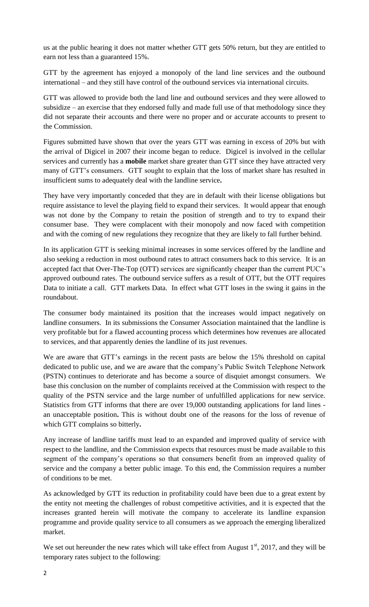us at the public hearing it does not matter whether GTT gets 50% return, but they are entitled to earn not less than a guaranteed 15%.

GTT by the agreement has enjoyed a monopoly of the land line services and the outbound international – and they still have control of the outbound services via international circuits.

GTT was allowed to provide both the land line and outbound services and they were allowed to subsidize – an exercise that they endorsed fully and made full use of that methodology since they did not separate their accounts and there were no proper and or accurate accounts to present to the Commission.

Figures submitted have shown that over the years GTT was earning in excess of 20% but with the arrival of Digicel in 2007 their income began to reduce. Digicel is involved in the cellular services and currently has a **mobile** market share greater than GTT since they have attracted very many of GTT's consumers. GTT sought to explain that the loss of market share has resulted in insufficient sums to adequately deal with the landline service**.** 

They have very importantly conceded that they are in default with their license obligations but require assistance to level the playing field to expand their services. It would appear that enough was not done by the Company to retain the position of strength and to try to expand their consumer base. They were complacent with their monopoly and now faced with competition and with the coming of new regulations they recognize that they are likely to fall further behind.

In its application GTT is seeking minimal increases in some services offered by the landline and also seeking a reduction in most outbound rates to attract consumers back to this service. It is an accepted fact that Over-The-Top (OTT) services are significantly cheaper than the current PUC's approved outbound rates. The outbound service suffers as a result of OTT, but the OTT requires Data to initiate a call. GTT markets Data. In effect what GTT loses in the swing it gains in the roundabout.

The consumer body maintained its position that the increases would impact negatively on landline consumers. In its submissions the Consumer Association maintained that the landline is very profitable but for a flawed accounting process which determines how revenues are allocated to services, and that apparently denies the landline of its just revenues.

We are aware that GTT's earnings in the recent pasts are below the 15% threshold on capital dedicated to public use, and we are aware that the company's Public Switch Telephone Network (PSTN) continues to deteriorate and has become a source of disquiet amongst consumers. We base this conclusion on the number of complaints received at the Commission with respect to the quality of the PSTN service and the large number of unfulfilled applications for new service. Statistics from GTT informs that there are over 19,000 outstanding applications for land lines an unacceptable position**.** This is without doubt one of the reasons for the loss of revenue of which GTT complains so bitterly**.**

Any increase of landline tariffs must lead to an expanded and improved quality of service with respect to the landline, and the Commission expects that resources must be made available to this segment of the company's operations so that consumers benefit from an improved quality of service and the company a better public image. To this end, the Commission requires a number of conditions to be met.

As acknowledged by GTT its reduction in profitability could have been due to a great extent by the entity not meeting the challenges of robust competitive activities, and it is expected that the increases granted herein will motivate the company to accelerate its landline expansion programme and provide quality service to all consumers as we approach the emerging liberalized market.

We set out hereunder the new rates which will take effect from August  $1<sup>st</sup>$ , 2017, and they will be temporary rates subject to the following: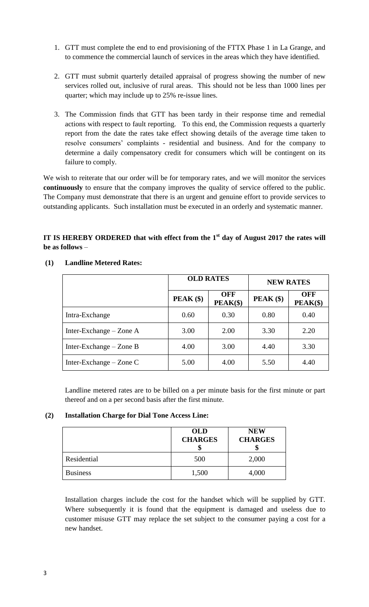- 1. GTT must complete the end to end provisioning of the FTTX Phase 1 in La Grange, and to commence the commercial launch of services in the areas which they have identified.
- 2. GTT must submit quarterly detailed appraisal of progress showing the number of new services rolled out, inclusive of rural areas. This should not be less than 1000 lines per quarter; which may include up to 25% re-issue lines.
- 3. The Commission finds that GTT has been tardy in their response time and remedial actions with respect to fault reporting. To this end, the Commission requests a quarterly report from the date the rates take effect showing details of the average time taken to resolve consumers' complaints - residential and business. And for the company to determine a daily compensatory credit for consumers which will be contingent on its failure to comply.

We wish to reiterate that our order will be for temporary rates, and we will monitor the services **continuously** to ensure that the company improves the quality of service offered to the public. The Company must demonstrate that there is an urgent and genuine effort to provide services to outstanding applicants. Such installation must be executed in an orderly and systematic manner.

# **IT IS HEREBY ORDERED that with effect from the 1st day of August 2017 the rates will be as follows** –

|                           | <b>OLD RATES</b> |                          | <b>NEW RATES</b> |                          |  |
|---------------------------|------------------|--------------------------|------------------|--------------------------|--|
|                           | $PEAK$ (\$)      | <b>OFF</b><br>$PEAK(\$)$ | $PEAK$ (\$)      | <b>OFF</b><br>$PEAK(\$)$ |  |
| Intra-Exchange            | 0.60             | 0.30                     | 0.80             | 0.40                     |  |
| Inter-Exchange $-$ Zone A | 3.00             | 2.00                     | 3.30             | 2.20                     |  |
| Inter-Exchange $-$ Zone B | 4.00             | 3.00                     | 4.40             | 3.30                     |  |
| Inter-Exchange $-$ Zone C | 5.00             | 4.00                     | 5.50             | 4.40                     |  |

#### **(1) Landline Metered Rates:**

Landline metered rates are to be billed on a per minute basis for the first minute or part thereof and on a per second basis after the first minute.

#### **(2) Installation Charge for Dial Tone Access Line:**

|                 | <b>OLD</b><br><b>CHARGES</b> | <b>NEW</b><br><b>CHARGES</b> |
|-----------------|------------------------------|------------------------------|
| Residential     | 500                          | 2,000                        |
| <b>Business</b> | 1,500                        | 4,000                        |

Installation charges include the cost for the handset which will be supplied by GTT. Where subsequently it is found that the equipment is damaged and useless due to customer misuse GTT may replace the set subject to the consumer paying a cost for a new handset.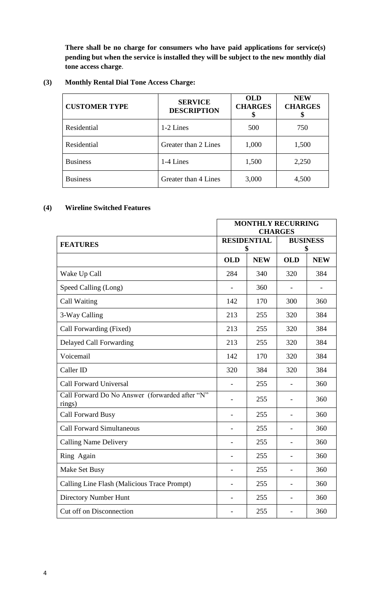**There shall be no charge for consumers who have paid applications for service(s) pending but when the service is installed they will be subject to the new monthly dial tone access charge**.

#### **(3) Monthly Rental Dial Tone Access Charge:**

| <b>CUSTOMER TYPE</b> | <b>SERVICE</b><br><b>DESCRIPTION</b> | <b>OLD</b><br><b>CHARGES</b> | <b>NEW</b><br><b>CHARGES</b> |  |
|----------------------|--------------------------------------|------------------------------|------------------------------|--|
| Residential          | 1-2 Lines                            | 500                          | 750                          |  |
| Residential          | Greater than 2 Lines                 | 1,000                        | 1,500                        |  |
| <b>Business</b>      | 1-4 Lines                            | 1,500                        | 2,250                        |  |
| <b>Business</b>      | Greater than 4 Lines                 | 3,000                        | 4,500                        |  |

#### **(4) Wireline Switched Features**

|                                                          | <b>MONTHLY RECURRING</b><br><b>CHARGES</b> |            |                          |            |  |
|----------------------------------------------------------|--------------------------------------------|------------|--------------------------|------------|--|
| <b>FEATURES</b>                                          | <b>RESIDENTIAL</b><br>S                    |            | <b>BUSINESS</b><br>\$    |            |  |
|                                                          | <b>OLD</b>                                 | <b>NEW</b> | <b>OLD</b>               | <b>NEW</b> |  |
| Wake Up Call                                             | 284                                        | 340        | 320                      | 384        |  |
| Speed Calling (Long)                                     |                                            | 360        |                          |            |  |
| Call Waiting                                             | 142                                        | 170        | 300                      | 360        |  |
| 3-Way Calling                                            | 213                                        | 255        | 320                      | 384        |  |
| Call Forwarding (Fixed)                                  | 213                                        | 255        | 320                      | 384        |  |
| Delayed Call Forwarding                                  | 213                                        | 255        | 320                      | 384        |  |
| Voicemail                                                | 142                                        | 170        | 320                      | 384        |  |
| Caller ID                                                | 320                                        | 384        | 320                      | 384        |  |
| <b>Call Forward Universal</b>                            |                                            | 255        |                          | 360        |  |
| Call Forward Do No Answer (forwarded after "N"<br>rings) |                                            | 255        |                          | 360        |  |
| <b>Call Forward Busy</b>                                 |                                            | 255        | $\overline{\phantom{0}}$ | 360        |  |
| <b>Call Forward Simultaneous</b>                         | $\overline{\phantom{0}}$                   | 255        | $\blacksquare$           | 360        |  |
| <b>Calling Name Delivery</b>                             | -                                          | 255        | $\overline{\phantom{a}}$ | 360        |  |
| Ring Again                                               | $\overline{a}$                             | 255        | $\overline{\phantom{a}}$ | 360        |  |
| Make Set Busy                                            |                                            | 255        | $\overline{\phantom{0}}$ | 360        |  |
| Calling Line Flash (Malicious Trace Prompt)              | $\overline{\phantom{0}}$                   | 255        | $\blacksquare$           | 360        |  |
| <b>Directory Number Hunt</b>                             |                                            | 255        | $\overline{\phantom{a}}$ | 360        |  |
| Cut off on Disconnection                                 |                                            | 255        | $\overline{a}$           | 360        |  |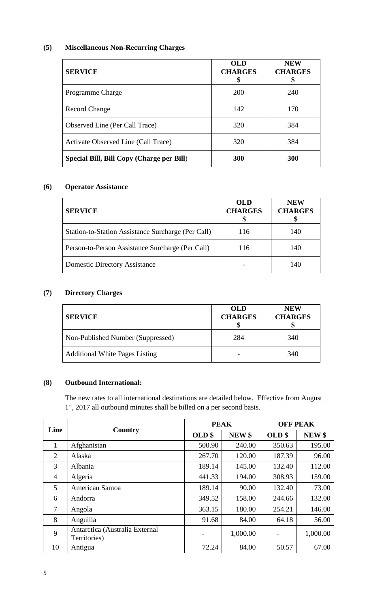# **(5) Miscellaneous Non-Recurring Charges**

| <b>SERVICE</b>                            | <b>OLD</b><br><b>CHARGES</b> | <b>NEW</b><br><b>CHARGES</b> |
|-------------------------------------------|------------------------------|------------------------------|
| <b>Programme Charge</b>                   | 200                          | 240                          |
| <b>Record Change</b>                      | 142                          | 170                          |
| Observed Line (Per Call Trace)            | 320                          | 384                          |
| Activate Observed Line (Call Trace)       | 320                          | 384                          |
| Special Bill, Bill Copy (Charge per Bill) | 300                          | 300                          |

## **(6) Operator Assistance**

| <b>SERVICE</b>                                     | <b>OLD</b><br><b>CHARGES</b> | <b>NEW</b><br><b>CHARGES</b> |
|----------------------------------------------------|------------------------------|------------------------------|
| Station-to-Station Assistance Surcharge (Per Call) | 116                          | 140                          |
| Person-to-Person Assistance Surcharge (Per Call)   | 116                          | 140                          |
| <b>Domestic Directory Assistance</b>               |                              | 140                          |

# **(7) Directory Charges**

| <b>SERVICE</b>                        | <b>OLD</b><br><b>CHARGES</b> | <b>NEW</b><br><b>CHARGES</b> |
|---------------------------------------|------------------------------|------------------------------|
| Non-Published Number (Suppressed)     | 284                          | 340                          |
| <b>Additional White Pages Listing</b> |                              | 340                          |

## **(8) Outbound International:**

The new rates to all international destinations are detailed below. Effective from August 1<sup>st</sup>, 2017 all outbound minutes shall be billed on a per second basis.

| Line           |                                                | <b>PEAK</b>       |                   | <b>OFF PEAK</b>          |                   |
|----------------|------------------------------------------------|-------------------|-------------------|--------------------------|-------------------|
|                | Country                                        | OLD <sub>\$</sub> | NEW <sub>\$</sub> | OLD\$                    | NEW <sub>\$</sub> |
| $\mathbf{1}$   | Afghanistan                                    | 500.90            | 240.00            | 350.63                   | 195.00            |
| $\overline{2}$ | Alaska                                         | 267.70            | 120.00            | 187.39                   | 96.00             |
| 3              | Albania                                        | 189.14            | 145.00            | 132.40                   | 112.00            |
| $\overline{4}$ | Algeria                                        | 441.33            | 194.00            | 308.93                   | 159.00            |
| 5              | American Samoa                                 | 189.14            | 90.00             | 132.40                   | 73.00             |
| 6              | Andorra                                        | 349.52            | 158.00            | 244.66                   | 132.00            |
| 7              | Angola                                         | 363.15            | 180.00            | 254.21                   | 146.00            |
| 8              | Anguilla                                       | 91.68             | 84.00             | 64.18                    | 56.00             |
| 9              | Antarctica (Australia External<br>Territories) |                   | 1,000.00          | $\overline{\phantom{a}}$ | 1,000.00          |
| 10             | Antigua                                        | 72.24             | 84.00             | 50.57                    | 67.00             |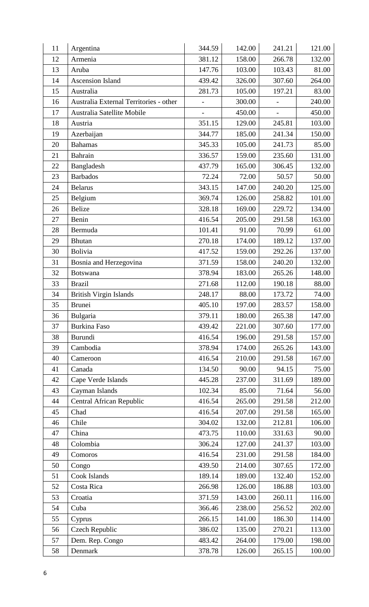| 11 | Argentina                              | 344.59                   | 142.00 | 241.21                   | 121.00 |
|----|----------------------------------------|--------------------------|--------|--------------------------|--------|
| 12 | Armenia                                | 381.12                   | 158.00 | 266.78                   | 132.00 |
| 13 | Aruba                                  | 147.76                   | 103.00 | 103.43                   | 81.00  |
| 14 | <b>Ascension Island</b>                | 439.42                   | 326.00 | 307.60                   | 264.00 |
| 15 | Australia                              | 281.73                   | 105.00 | 197.21                   | 83.00  |
| 16 | Australia External Territories - other | $\overline{a}$           | 300.00 | $\frac{1}{2}$            | 240.00 |
| 17 | Australia Satellite Mobile             | $\overline{\phantom{0}}$ | 450.00 | $\overline{\phantom{a}}$ | 450.00 |
| 18 | Austria                                | 351.15                   | 129.00 | 245.81                   | 103.00 |
| 19 | Azerbaijan                             | 344.77                   | 185.00 | 241.34                   | 150.00 |
| 20 | <b>Bahamas</b>                         | 345.33                   | 105.00 | 241.73                   | 85.00  |
| 21 | Bahrain                                | 336.57                   | 159.00 | 235.60                   | 131.00 |
| 22 | Bangladesh                             | 437.79                   | 165.00 | 306.45                   | 132.00 |
| 23 | <b>Barbados</b>                        | 72.24                    | 72.00  | 50.57                    | 50.00  |
| 24 | <b>Belarus</b>                         | 343.15                   | 147.00 | 240.20                   | 125.00 |
| 25 | Belgium                                | 369.74                   | 126.00 | 258.82                   | 101.00 |
| 26 | <b>Belize</b>                          | 328.18                   | 169.00 | 229.72                   | 134.00 |
| 27 | Benin                                  | 416.54                   | 205.00 | 291.58                   | 163.00 |
| 28 | Bermuda                                | 101.41                   | 91.00  | 70.99                    | 61.00  |
| 29 | Bhutan                                 | 270.18                   | 174.00 | 189.12                   | 137.00 |
| 30 | Bolivia                                | 417.52                   | 159.00 | 292.26                   | 137.00 |
| 31 | Bosnia and Herzegovina                 | 371.59                   | 158.00 | 240.20                   | 132.00 |
| 32 | <b>Botswana</b>                        | 378.94                   | 183.00 | 265.26                   | 148.00 |
| 33 | <b>Brazil</b>                          | 271.68                   | 112.00 | 190.18                   | 88.00  |
| 34 | British Virgin Islands                 | 248.17                   | 88.00  | 173.72                   | 74.00  |
| 35 | <b>Brunei</b>                          | 405.10                   | 197.00 | 283.57                   | 158.00 |
| 36 | Bulgaria                               | 379.11                   | 180.00 | 265.38                   | 147.00 |
| 37 | <b>Burkina Faso</b>                    | 439.42                   | 221.00 | 307.60                   | 177.00 |
| 38 | <b>Burundi</b>                         | 416.54                   | 196.00 | 291.58                   | 157.00 |
| 39 | Cambodia                               | 378.94                   | 174.00 | 265.26                   | 143.00 |
| 40 | Cameroon                               | 416.54                   | 210.00 | 291.58                   | 167.00 |
| 41 | Canada                                 | 134.50                   | 90.00  | 94.15                    | 75.00  |
| 42 | Cape Verde Islands                     | 445.28                   | 237.00 | 311.69                   | 189.00 |
| 43 | Cayman Islands                         | 102.34                   | 85.00  | 71.64                    | 56.00  |
| 44 | Central African Republic               | 416.54                   | 265.00 | 291.58                   | 212.00 |
| 45 | Chad                                   | 416.54                   | 207.00 | 291.58                   | 165.00 |
| 46 | Chile                                  | 304.02                   | 132.00 | 212.81                   | 106.00 |
| 47 | China                                  | 473.75                   | 110.00 | 331.63                   | 90.00  |
| 48 | Colombia                               | 306.24                   | 127.00 | 241.37                   | 103.00 |
| 49 | Comoros                                | 416.54                   | 231.00 | 291.58                   | 184.00 |
| 50 | Congo                                  | 439.50                   | 214.00 | 307.65                   | 172.00 |
| 51 | Cook Islands                           | 189.14                   | 189.00 | 132.40                   | 152.00 |
| 52 | Costa Rica                             | 266.98                   | 126.00 | 186.88                   | 103.00 |
| 53 | Croatia                                | 371.59                   | 143.00 | 260.11                   | 116.00 |
| 54 | Cuba                                   | 366.46                   | 238.00 | 256.52                   | 202.00 |
| 55 | Cyprus                                 | 266.15                   | 141.00 | 186.30                   | 114.00 |
| 56 | <b>Czech Republic</b>                  | 386.02                   | 135.00 | 270.21                   | 113.00 |
| 57 | Dem. Rep. Congo                        | 483.42                   | 264.00 | 179.00                   | 198.00 |
| 58 | Denmark                                | 378.78                   | 126.00 | 265.15                   | 100.00 |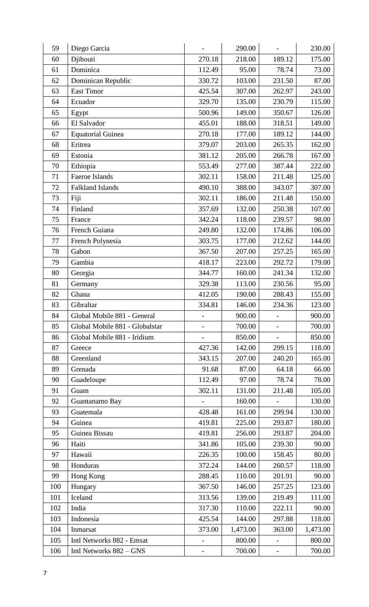| 59  | Diego Garcia                   |                   | 290.00   |                          | 230.00   |
|-----|--------------------------------|-------------------|----------|--------------------------|----------|
| 60  | Djibouti                       | 270.18            | 218.00   | 189.12                   | 175.00   |
| 61  | Dominica                       | 112.49            | 95.00    | 78.74                    | 73.00    |
| 62  | Dominican Republic             | 330.72            | 103.00   | 231.50                   | 87.00    |
| 63  | <b>East Timor</b>              | 425.54            | 307.00   | 262.97                   | 243.00   |
| 64  | Ecuador                        | 329.70            | 135.00   | 230.79                   | 115.00   |
| 65  | Egypt                          | 500.96            | 149.00   | 350.67                   | 126.00   |
| 66  | El Salvador                    | 455.01            | 188.00   | 318.51                   | 149.00   |
| 67  | <b>Equatorial Guinea</b>       | 270.18            | 177.00   | 189.12                   | 144.00   |
| 68  | Eritrea                        | 379.07            | 203.00   | 265.35                   | 162.00   |
| 69  | Estonia                        | 381.12            | 205.00   | 266.78                   | 167.00   |
| 70  | Ethiopia                       | 553.49            | 277.00   | 387.44                   | 222.00   |
| 71  | Faeroe Islands                 | 302.11            | 158.00   | 211.48                   | 125.00   |
| 72  | <b>Falkland Islands</b>        | 490.10            | 388.00   | 343.07                   | 307.00   |
| 73  | Fiji                           | 302.11            | 186.00   | 211.48                   | 150.00   |
| 74  | Finland                        | 357.69            | 132.00   | 250.38                   | 107.00   |
| 75  | France                         | 342.24            | 118.00   | 239.57                   | 98.00    |
| 76  | French Guiana                  | 249.80            | 132.00   | 174.86                   | 106.00   |
| 77  | French Polynesia               | 303.75            | 177.00   | 212.62                   | 144.00   |
| 78  | Gabon                          | 367.50            | 207.00   | 257.25                   | 165.00   |
| 79  | Gambia                         | 418.17            | 223.00   | 292.72                   | 179.00   |
| 80  | Georgia                        | 344.77            | 160.00   | 241.34                   | 132.00   |
| 81  | Germany                        | 329.38            | 113.00   | 230.56                   | 95.00    |
| 82  | Ghana                          | 412.05            | 190.00   | 288.43                   | 155.00   |
| 83  | Gibraltar                      | 334.81            | 146.00   | 234.36                   | 123.00   |
| 84  | Global Mobile 881 - General    |                   | 900.00   |                          | 900.00   |
| 85  | Global Mobile 881 - Globalstar |                   | 700.00   | $\overline{\phantom{0}}$ | 700.00   |
| 86  | Global Mobile 881 - Iridium    |                   | 850.00   | $\overline{\phantom{0}}$ | 850.00   |
| 87  | Greece                         | 427.36            | 142.00   | 299.15                   | 118.00   |
| 88  | Greenland                      | 343.15            | 207.00   | 240.20                   | 165.00   |
| 89  | Grenada                        | 91.68             | 87.00    | 64.18                    | 66.00    |
| 90  | Guadeloupe                     | 112.49            | 97.00    | 78.74                    | 78.00    |
| 91  | Guam                           | 302.11            | 131.00   | 211.48                   | 105.00   |
| 92  | Guantanamo Bay                 |                   | 160.00   | $\overline{\phantom{0}}$ | 130.00   |
| 93  | Guatemala                      | 428.48            | 161.00   | 299.94                   | 130.00   |
| 94  | Guinea                         | 419.81            | 225.00   | 293.87                   | 180.00   |
| 95  | Guinea Bissau                  | 419.81            | 256.00   | 293.87                   | 204.00   |
| 96  | Haiti                          | 341.86            | 105.00   | 239.30                   | 90.00    |
| 97  | Hawaii                         | 226.35            | 100.00   | 158.45                   | 80.00    |
| 98  | Honduras                       | 372.24            | 144.00   | 260.57                   | 118.00   |
| 99  | Hong Kong                      | 288.45            | 110.00   | 201.91                   | 90.00    |
| 100 | Hungary                        | 367.50            | 146.00   | 257.25                   | 123.00   |
| 101 | Iceland                        | 313.56            | 139.00   | 219.49                   | 111.00   |
| 102 | India                          | 317.30            | 110.00   | 222.11                   | 90.00    |
| 103 | Indonesia                      | 425.54            | 144.00   | 297.88                   | 118.00   |
| 104 | Inmarsat                       | 373.00            | 1,473.00 | 363.00                   | 1,473.00 |
| 105 | Intl Networks 882 - Emsat      |                   | 800.00   | $\overline{a}$           | 800.00   |
| 106 | Intl Networks 882 – GNS        | $\qquad \qquad -$ | 700.00   | $\overline{\phantom{0}}$ | 700.00   |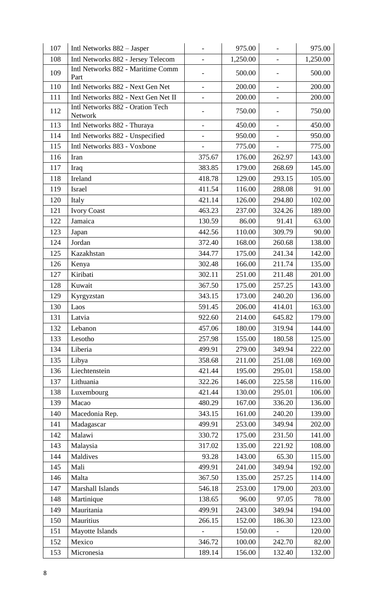| 107 | Intl Networks 882 - Jasper                  |                          | 975.00   | $\overline{a}$           | 975.00   |
|-----|---------------------------------------------|--------------------------|----------|--------------------------|----------|
| 108 | Intl Networks 882 - Jersey Telecom          | $\overline{a}$           | 1,250.00 | $\overline{\phantom{a}}$ | 1,250.00 |
| 109 | Intl Networks 882 - Maritime Comm<br>Part   | $\overline{\phantom{0}}$ | 500.00   | $\overline{a}$           | 500.00   |
| 110 | Intl Networks 882 - Next Gen Net            | $\overline{\phantom{0}}$ | 200.00   | $\overline{\phantom{a}}$ | 200.00   |
| 111 | Intl Networks 882 - Next Gen Net II         | $\overline{\phantom{0}}$ | 200.00   | $\overline{\phantom{0}}$ | 200.00   |
| 112 | Intl Networks 882 - Oration Tech<br>Network |                          | 750.00   |                          | 750.00   |
| 113 | Intl Networks 882 - Thuraya                 | $\overline{a}$           | 450.00   | $\overline{a}$           | 450.00   |
| 114 | Intl Networks 882 - Unspecified             | $\overline{a}$           | 950.00   | $\overline{\phantom{a}}$ | 950.00   |
| 115 | Intl Networks 883 - Voxbone                 | $\overline{\phantom{0}}$ | 775.00   | $\overline{\phantom{0}}$ | 775.00   |
| 116 | Iran                                        | 375.67                   | 176.00   | 262.97                   | 143.00   |
| 117 | Iraq                                        | 383.85                   | 179.00   | 268.69                   | 145.00   |
| 118 | Ireland                                     | 418.78                   | 129.00   | 293.15                   | 105.00   |
| 119 | <b>Israel</b>                               | 411.54                   | 116.00   | 288.08                   | 91.00    |
| 120 | Italy                                       | 421.14                   | 126.00   | 294.80                   | 102.00   |
| 121 | <b>Ivory Coast</b>                          | 463.23                   | 237.00   | 324.26                   | 189.00   |
| 122 | Jamaica                                     | 130.59                   | 86.00    | 91.41                    | 63.00    |
| 123 | Japan                                       | 442.56                   | 110.00   | 309.79                   | 90.00    |
| 124 | Jordan                                      | 372.40                   | 168.00   | 260.68                   | 138.00   |
| 125 | Kazakhstan                                  | 344.77                   | 175.00   | 241.34                   | 142.00   |
| 126 | Kenya                                       | 302.48                   | 166.00   | 211.74                   | 135.00   |
| 127 | Kiribati                                    | 302.11                   | 251.00   | 211.48                   | 201.00   |
| 128 | Kuwait                                      | 367.50                   | 175.00   | 257.25                   | 143.00   |
| 129 | Kyrgyzstan                                  | 343.15                   | 173.00   | 240.20                   | 136.00   |
| 130 | Laos                                        | 591.45                   | 206.00   | 414.01                   | 163.00   |
| 131 | Latvia                                      | 922.60                   | 214.00   | 645.82                   | 179.00   |
| 132 | Lebanon                                     | 457.06                   | 180.00   | 319.94                   | 144.00   |
| 133 | Lesotho                                     | 257.98                   | 155.00   | 180.58                   | 125.00   |
| 134 | Liberia                                     | 499.91                   | 279.00   | 349.94                   | 222.00   |
| 135 | Libya                                       | 358.68                   | 211.00   | 251.08                   | 169.00   |
| 136 | Liechtenstein                               | 421.44                   | 195.00   | 295.01                   | 158.00   |
| 137 | Lithuania                                   | 322.26                   | 146.00   | 225.58                   | 116.00   |
| 138 | Luxembourg                                  | 421.44                   | 130.00   | 295.01                   | 106.00   |
| 139 | Macao                                       | 480.29                   | 167.00   | 336.20                   | 136.00   |
| 140 | Macedonia Rep.                              | 343.15                   | 161.00   | 240.20                   | 139.00   |
| 141 | Madagascar                                  | 499.91                   | 253.00   | 349.94                   | 202.00   |
| 142 | Malawi                                      | 330.72                   | 175.00   | 231.50                   | 141.00   |
| 143 | Malaysia                                    | 317.02                   | 135.00   | 221.92                   | 108.00   |
| 144 | Maldives                                    | 93.28                    | 143.00   | 65.30                    | 115.00   |
| 145 | Mali                                        | 499.91                   | 241.00   | 349.94                   | 192.00   |
| 146 | Malta                                       | 367.50                   | 135.00   | 257.25                   | 114.00   |
| 147 | Marshall Islands                            | 546.18                   | 253.00   | 179.00                   | 203.00   |
| 148 | Martinique                                  | 138.65                   | 96.00    | 97.05                    | 78.00    |
| 149 | Mauritania                                  | 499.91                   | 243.00   | 349.94                   | 194.00   |
| 150 | Mauritius                                   | 266.15                   | 152.00   | 186.30                   | 123.00   |
| 151 | Mayotte Islands                             | $\overline{\phantom{0}}$ | 150.00   | $\overline{\phantom{a}}$ | 120.00   |
| 152 | Mexico                                      | 346.72                   | 100.00   | 242.70                   | 82.00    |
| 153 | Micronesia                                  | 189.14                   | 156.00   | 132.40                   | 132.00   |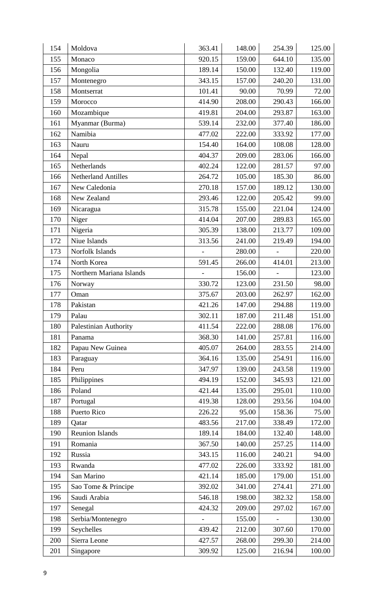| 154 | Moldova                      | 363.41 | 148.00 | 254.39         | 125.00 |
|-----|------------------------------|--------|--------|----------------|--------|
| 155 | Monaco                       | 920.15 | 159.00 | 644.10         | 135.00 |
| 156 | Mongolia                     | 189.14 | 150.00 | 132.40         | 119.00 |
| 157 | Montenegro                   | 343.15 | 157.00 | 240.20         | 131.00 |
| 158 | Montserrat                   | 101.41 | 90.00  | 70.99          | 72.00  |
| 159 | Morocco                      | 414.90 | 208.00 | 290.43         | 166.00 |
| 160 | Mozambique                   | 419.81 | 204.00 | 293.87         | 163.00 |
| 161 | Myanmar (Burma)              | 539.14 | 232.00 | 377.40         | 186.00 |
| 162 | Namibia                      | 477.02 | 222.00 | 333.92         | 177.00 |
| 163 | Nauru                        | 154.40 | 164.00 | 108.08         | 128.00 |
| 164 | Nepal                        | 404.37 | 209.00 | 283.06         | 166.00 |
| 165 | Netherlands                  | 402.24 | 122.00 | 281.57         | 97.00  |
| 166 | <b>Netherland Antilles</b>   | 264.72 | 105.00 | 185.30         | 86.00  |
| 167 | New Caledonia                | 270.18 | 157.00 | 189.12         | 130.00 |
| 168 | New Zealand                  | 293.46 | 122.00 | 205.42         | 99.00  |
| 169 | Nicaragua                    | 315.78 | 155.00 | 221.04         | 124.00 |
| 170 | Niger                        | 414.04 | 207.00 | 289.83         | 165.00 |
| 171 | Nigeria                      | 305.39 | 138.00 | 213.77         | 109.00 |
| 172 | Niue Islands                 | 313.56 | 241.00 | 219.49         | 194.00 |
| 173 | Norfolk Islands              |        | 280.00 | $\overline{a}$ | 220.00 |
| 174 | North Korea                  | 591.45 | 266.00 | 414.01         | 213.00 |
| 175 | Northern Mariana Islands     |        | 156.00 |                | 123.00 |
| 176 | Norway                       | 330.72 | 123.00 | 231.50         | 98.00  |
| 177 | Oman                         | 375.67 | 203.00 | 262.97         | 162.00 |
| 178 | Pakistan                     | 421.26 | 147.00 | 294.88         | 119.00 |
| 179 | Palau                        | 302.11 | 187.00 | 211.48         | 151.00 |
| 180 | <b>Palestinian Authority</b> | 411.54 | 222.00 | 288.08         | 176.00 |
| 181 | Panama                       | 368.30 | 141.00 | 257.81         | 116.00 |
| 182 | Papau New Guinea             | 405.07 | 264.00 | 283.55         | 214.00 |
| 183 | Paraguay                     | 364.16 | 135.00 | 254.91         | 116.00 |
| 184 | Peru                         | 347.97 | 139.00 | 243.58         | 119.00 |
| 185 | Philippines                  | 494.19 | 152.00 | 345.93         | 121.00 |
| 186 | Poland                       | 421.44 | 135.00 | 295.01         | 110.00 |
| 187 | Portugal                     | 419.38 | 128.00 | 293.56         | 104.00 |
| 188 | Puerto Rico                  | 226.22 | 95.00  | 158.36         | 75.00  |
| 189 | Qatar                        | 483.56 | 217.00 | 338.49         | 172.00 |
| 190 | <b>Reunion Islands</b>       | 189.14 | 184.00 | 132.40         | 148.00 |
| 191 | Romania                      | 367.50 | 140.00 | 257.25         | 114.00 |
| 192 | Russia                       | 343.15 | 116.00 | 240.21         | 94.00  |
| 193 | Rwanda                       | 477.02 | 226.00 | 333.92         | 181.00 |
| 194 | San Marino                   | 421.14 | 185.00 | 179.00         | 151.00 |
| 195 | Sao Tome & Principe          | 392.02 | 341.00 | 274.41         | 271.00 |
| 196 | Saudi Arabia                 | 546.18 | 198.00 | 382.32         | 158.00 |
| 197 | Senegal                      | 424.32 | 209.00 | 297.02         | 167.00 |
| 198 | Serbia/Montenegro            |        | 155.00 |                | 130.00 |
| 199 | Seychelles                   | 439.42 | 212.00 | 307.60         | 170.00 |
| 200 | Sierra Leone                 | 427.57 | 268.00 | 299.30         | 214.00 |
| 201 | Singapore                    | 309.92 | 125.00 | 216.94         | 100.00 |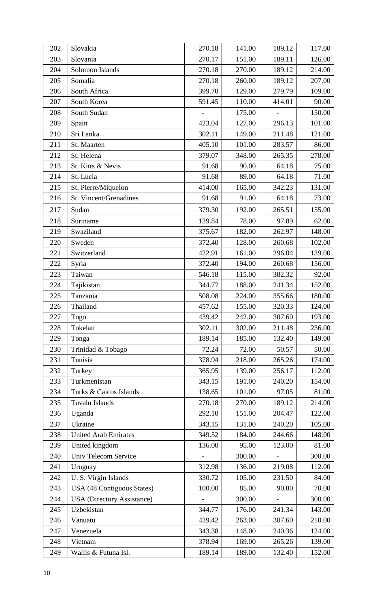| 202 | Slovakia                          | 270.18 | 141.00 | 189.12                   | 117.00 |
|-----|-----------------------------------|--------|--------|--------------------------|--------|
| 203 | Slovania                          | 270.17 | 151.00 | 189.11                   | 126.00 |
| 204 | Solomon Islands                   | 270.18 | 270.00 | 189.12                   | 214.00 |
| 205 | Somalia                           | 270.18 | 260.00 | 189.12                   | 207.00 |
| 206 | South Africa                      | 399.70 | 129.00 | 279.79                   | 109.00 |
| 207 | South Korea                       | 591.45 | 110.00 | 414.01                   | 90.00  |
| 208 | South Sudan                       |        | 175.00 | $\overline{\phantom{0}}$ | 150.00 |
| 209 | Spain                             | 423.04 | 127.00 | 296.13                   | 101.00 |
| 210 | Sri Lanka                         | 302.11 | 149.00 | 211.48                   | 121.00 |
| 211 | St. Maarten                       | 405.10 | 101.00 | 283.57                   | 86.00  |
| 212 | St. Helena                        | 379.07 | 348.00 | 265.35                   | 278.00 |
| 213 | St. Kitts & Nevis                 | 91.68  | 90.00  | 64.18                    | 75.00  |
| 214 | St. Lucia                         | 91.68  | 89.00  | 64.18                    | 71.00  |
| 215 | St. Pierre/Miquelon               | 414.00 | 165.00 | 342.23                   | 131.00 |
| 216 | St. Vincent/Grenadines            | 91.68  | 91.00  | 64.18                    | 73.00  |
| 217 | Sudan                             | 379.30 | 192.00 | 265.51                   | 155.00 |
| 218 | Suriname                          | 139.84 | 78.00  | 97.89                    | 62.00  |
| 219 | Swaziland                         | 375.67 | 182.00 | 262.97                   | 148.00 |
| 220 | Sweden                            | 372.40 | 128.00 | 260.68                   | 102.00 |
| 221 | Switzerland                       | 422.91 | 161.00 | 296.04                   | 139.00 |
| 222 | Syria                             | 372.40 | 194.00 | 260.68                   | 156.00 |
| 223 | Taiwan                            | 546.18 | 115.00 | 382.32                   | 92.00  |
| 224 | Tajikistan                        | 344.77 | 188.00 | 241.34                   | 152.00 |
| 225 | Tanzania                          | 508.08 | 224.00 | 355.66                   | 180.00 |
| 226 | Thailand                          | 457.62 | 155.00 | 320.33                   | 124.00 |
| 227 | Togo                              | 439.42 | 242.00 | 307.60                   | 193.00 |
| 228 | Tokelau                           | 302.11 | 302.00 | 211.48                   | 236.00 |
| 229 | Tonga                             | 189.14 | 185.00 | 132.40                   | 149.00 |
| 230 | Trinidad & Tobago                 | 72.24  | 72.00  | 50.57                    | 50.00  |
| 231 | Tunisia                           | 378.94 | 218.00 | 265.26                   | 174.00 |
| 232 | Turkey                            | 365.95 | 139.00 | 256.17                   | 112.00 |
| 233 | Turkmenistan                      | 343.15 | 191.00 | 240.20                   | 154.00 |
| 234 | Turks & Caicos Islands            | 138.65 | 101.00 | 97.05                    | 81.00  |
| 235 | Tuvalu Islands                    | 270.18 | 270.00 | 189.12                   | 214.00 |
| 236 | Uganda                            | 292.10 | 151.00 | 204.47                   | 122.00 |
| 237 | Ukraine                           | 343.15 | 131.00 | 240.20                   | 105.00 |
| 238 | <b>United Arab Emirates</b>       | 349.52 | 184.00 | 244.66                   | 148.00 |
| 239 | United kingdom                    | 136.00 | 95.00  | 123.00                   | 81.00  |
| 240 | <b>Univ Telecom Service</b>       |        | 300.00 |                          | 300.00 |
| 241 | Uruguay                           | 312.98 | 136.00 | 219.08                   | 112.00 |
| 242 | U.S. Virgin Islands               | 330.72 | 105.00 | 231.50                   | 84.00  |
| 243 | USA (48 Contiguous States)        | 100.00 | 85.00  | 90.00                    | 70.00  |
| 244 | <b>USA</b> (Directory Assistance) |        | 300.00 |                          | 300.00 |
| 245 | Uzbekistan                        | 344.77 | 176.00 | 241.34                   | 143.00 |
| 246 | Vanuatu                           | 439.42 | 263.00 | 307.60                   | 210.00 |
| 247 | Venezuela                         | 343.38 | 148.00 | 240.36                   | 124.00 |
| 248 | Vietnam                           | 378.94 | 169.00 | 265.26                   | 139.00 |
| 249 | Wallis & Futuna Isl.              | 189.14 | 189.00 | 132.40                   | 152.00 |